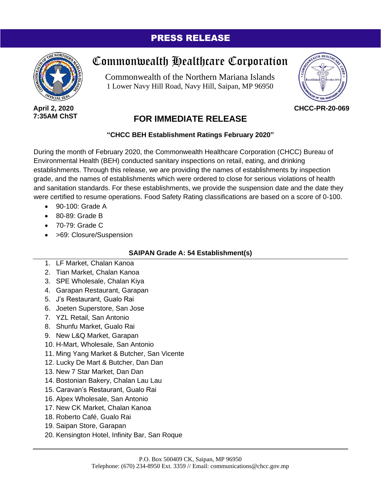# PRESS RELEASE



**April 2, 2020 7:35AM ChST**

# Commonwealth Healthcare Corporation

Commonwealth of the Northern Mariana Islands 1 Lower Navy Hill Road, Navy Hill, Saipan, MP 96950



**CHCC-PR-20-069**

# **FOR IMMEDIATE RELEASE**

### **"CHCC BEH Establishment Ratings February 2020"**

During the month of February 2020, the Commonwealth Healthcare Corporation (CHCC) Bureau of Environmental Health (BEH) conducted sanitary inspections on retail, eating, and drinking establishments. Through this release, we are providing the names of establishments by inspection grade, and the names of establishments which were ordered to close for serious violations of health and sanitation standards. For these establishments, we provide the suspension date and the date they were certified to resume operations. Food Safety Rating classifications are based on a score of 0-100.

- $\bullet$  90-100; Grade A
- 80-89: Grade B
- 70-79: Grade C
- > 69: Closure/Suspension

## **SAIPAN Grade A: 54 Establishment(s)**

- 1. LF Market, Chalan Kanoa
- 2. Tian Market, Chalan Kanoa
- 3. SPE Wholesale, Chalan Kiya
- 4. Garapan Restaurant, Garapan
- 5. J's Restaurant, Gualo Rai
- 6. Joeten Superstore, San Jose
- 7. YZL Retail, San Antonio
- 8. Shunfu Market, Gualo Rai
- 9. New L&Q Market, Garapan
- 10. H-Mart, Wholesale, San Antonio
- 11. Ming Yang Market & Butcher, San Vicente
- 12. Lucky De Mart & Butcher, Dan Dan
- 13. New 7 Star Market, Dan Dan
- 14. Bostonian Bakery, Chalan Lau Lau
- 15. Caravan's Restaurant, Gualo Rai
- 16. Alpex Wholesale, San Antonio
- 17. New CK Market, Chalan Kanoa
- 18. Roberto Café, Gualo Rai
- 19. Saipan Store, Garapan
- 20. Kensington Hotel, Infinity Bar, San Roque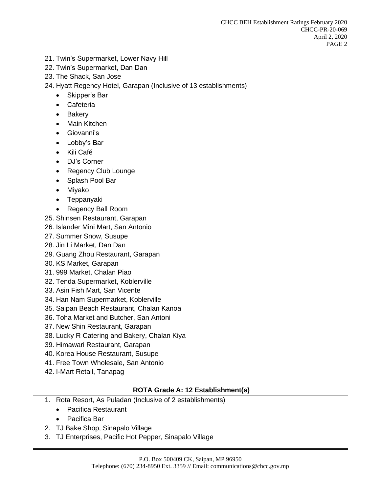- 21. Twin's Supermarket, Lower Navy Hill
- 22. Twin's Supermarket, Dan Dan
- 23. The Shack, San Jose
- 24. Hyatt Regency Hotel, Garapan (Inclusive of 13 establishments)
	- Skipper's Bar
	- Cafeteria
	- Bakery
	- Main Kitchen
	- Giovanni's
	- Lobby's Bar
	- Kili Café
	- DJ's Corner
	- Regency Club Lounge
	- Splash Pool Bar
	- Miyako
	- Teppanyaki
	- Regency Ball Room
- 25. Shinsen Restaurant, Garapan
- 26. Islander Mini Mart, San Antonio
- 27. Summer Snow, Susupe
- 28. Jin Li Market, Dan Dan
- 29. Guang Zhou Restaurant, Garapan
- 30. KS Market, Garapan
- 31. 999 Market, Chalan Piao
- 32. Tenda Supermarket, Koblerville
- 33. Asin Fish Mart, San Vicente
- 34. Han Nam Supermarket, Koblerville
- 35. Saipan Beach Restaurant, Chalan Kanoa
- 36. Toha Market and Butcher, San Antoni
- 37. New Shin Restaurant, Garapan
- 38. Lucky R Catering and Bakery, Chalan Kiya
- 39. Himawari Restaurant, Garapan
- 40. Korea House Restaurant, Susupe
- 41. Free Town Wholesale, San Antonio
- 42. I-Mart Retail, Tanapag

## **ROTA Grade A: 12 Establishment(s)**

- 1. Rota Resort, As Puladan (Inclusive of 2 establishments)
	- Pacifica Restaurant
	- Pacifica Bar
- 2. TJ Bake Shop, Sinapalo Village
- 3. TJ Enterprises, Pacific Hot Pepper, Sinapalo Village